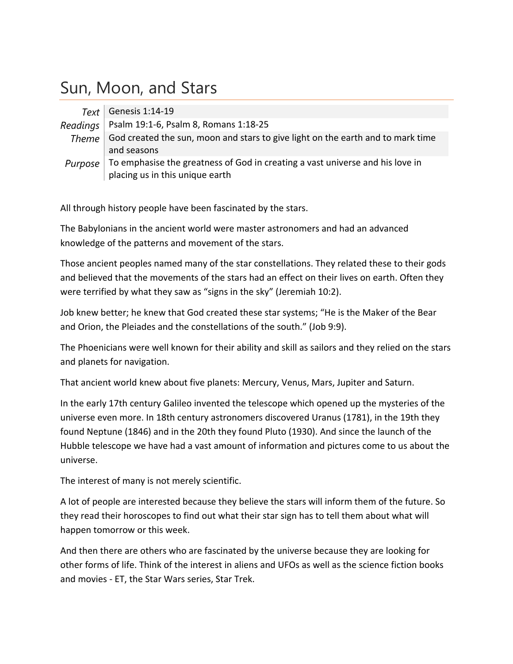# Sun, Moon, and Stars

|          | Text   Genesis 1:14-19                                                                                           |
|----------|------------------------------------------------------------------------------------------------------------------|
| Readings | Psalm 19:1-6, Psalm 8, Romans 1:18-25                                                                            |
|          | Theme God created the sun, moon and stars to give light on the earth and to mark time<br>and seasons             |
| Purpose  | To emphasise the greatness of God in creating a vast universe and his love in<br>placing us in this unique earth |

All through history people have been fascinated by the stars.

The Babylonians in the ancient world were master astronomers and had an advanced knowledge of the patterns and movement of the stars.

Those ancient peoples named many of the star constellations. They related these to their gods and believed that the movements of the stars had an effect on their lives on earth. Often they were terrified by what they saw as "signs in the sky" (Jeremiah 10:2).

Job knew better; he knew that God created these star systems; "He is the Maker of the Bear and Orion, the Pleiades and the constellations of the south." (Job 9:9).

The Phoenicians were well known for their ability and skill as sailors and they relied on the stars and planets for navigation.

That ancient world knew about five planets: Mercury, Venus, Mars, Jupiter and Saturn.

In the early 17th century Galileo invented the telescope which opened up the mysteries of the universe even more. In 18th century astronomers discovered Uranus (1781), in the 19th they found Neptune (1846) and in the 20th they found Pluto (1930). And since the launch of the Hubble telescope we have had a vast amount of information and pictures come to us about the universe.

The interest of many is not merely scientific.

A lot of people are interested because they believe the stars will inform them of the future. So they read their horoscopes to find out what their star sign has to tell them about what will happen tomorrow or this week.

And then there are others who are fascinated by the universe because they are looking for other forms of life. Think of the interest in aliens and UFOs as well as the science fiction books and movies ‐ ET, the Star Wars series, Star Trek.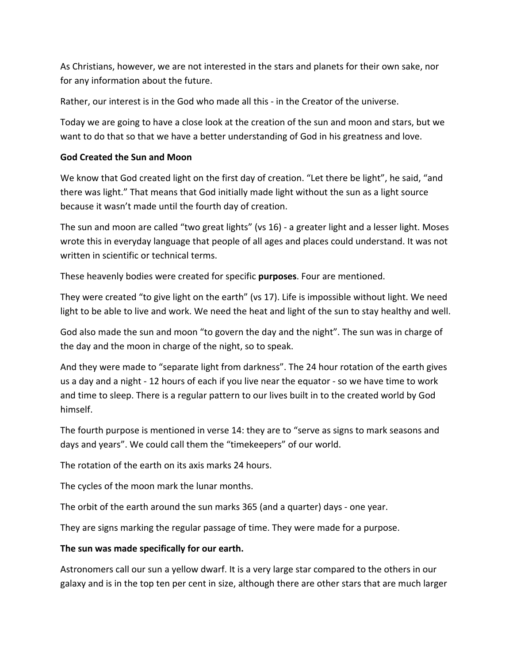As Christians, however, we are not interested in the stars and planets for their own sake, nor for any information about the future.

Rather, our interest is in the God who made all this ‐ in the Creator of the universe.

Today we are going to have a close look at the creation of the sun and moon and stars, but we want to do that so that we have a better understanding of God in his greatness and love.

#### **God Created the Sun and Moon**

We know that God created light on the first day of creation. "Let there be light", he said, "and there was light." That means that God initially made light without the sun as a light source because it wasn't made until the fourth day of creation.

The sun and moon are called "two great lights" (vs 16) ‐ a greater light and a lesser light. Moses wrote this in everyday language that people of all ages and places could understand. It was not written in scientific or technical terms.

These heavenly bodies were created for specific **purposes**. Four are mentioned.

They were created "to give light on the earth" (vs 17). Life is impossible without light. We need light to be able to live and work. We need the heat and light of the sun to stay healthy and well.

God also made the sun and moon "to govern the day and the night". The sun was in charge of the day and the moon in charge of the night, so to speak.

And they were made to "separate light from darkness". The 24 hour rotation of the earth gives us a day and a night ‐ 12 hours of each if you live near the equator ‐ so we have time to work and time to sleep. There is a regular pattern to our lives built in to the created world by God himself.

The fourth purpose is mentioned in verse 14: they are to "serve as signs to mark seasons and days and years". We could call them the "timekeepers" of our world.

The rotation of the earth on its axis marks 24 hours.

The cycles of the moon mark the lunar months.

The orbit of the earth around the sun marks 365 (and a quarter) days - one year.

They are signs marking the regular passage of time. They were made for a purpose.

#### **The sun was made specifically for our earth.**

Astronomers call our sun a yellow dwarf. It is a very large star compared to the others in our galaxy and is in the top ten per cent in size, although there are other stars that are much larger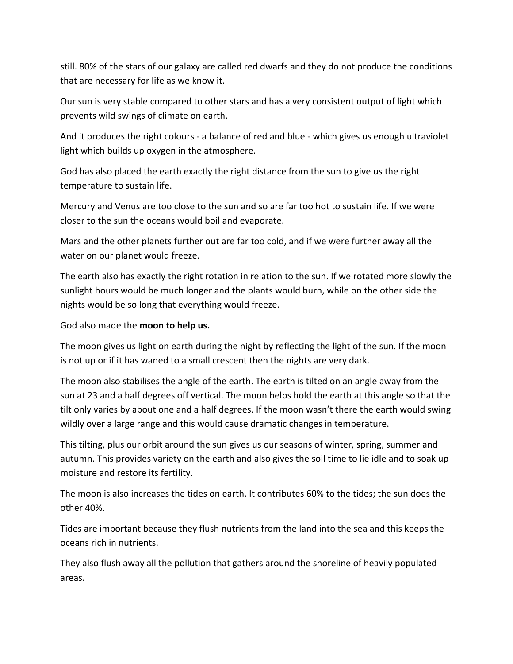still. 80% of the stars of our galaxy are called red dwarfs and they do not produce the conditions that are necessary for life as we know it.

Our sun is very stable compared to other stars and has a very consistent output of light which prevents wild swings of climate on earth.

And it produces the right colours ‐ a balance of red and blue ‐ which gives us enough ultraviolet light which builds up oxygen in the atmosphere.

God has also placed the earth exactly the right distance from the sun to give us the right temperature to sustain life.

Mercury and Venus are too close to the sun and so are far too hot to sustain life. If we were closer to the sun the oceans would boil and evaporate.

Mars and the other planets further out are far too cold, and if we were further away all the water on our planet would freeze.

The earth also has exactly the right rotation in relation to the sun. If we rotated more slowly the sunlight hours would be much longer and the plants would burn, while on the other side the nights would be so long that everything would freeze.

God also made the **moon to help us.**

The moon gives us light on earth during the night by reflecting the light of the sun. If the moon is not up or if it has waned to a small crescent then the nights are very dark.

The moon also stabilises the angle of the earth. The earth is tilted on an angle away from the sun at 23 and a half degrees off vertical. The moon helps hold the earth at this angle so that the tilt only varies by about one and a half degrees. If the moon wasn't there the earth would swing wildly over a large range and this would cause dramatic changes in temperature.

This tilting, plus our orbit around the sun gives us our seasons of winter, spring, summer and autumn. This provides variety on the earth and also gives the soil time to lie idle and to soak up moisture and restore its fertility.

The moon is also increases the tides on earth. It contributes 60% to the tides; the sun does the other 40%.

Tides are important because they flush nutrients from the land into the sea and this keeps the oceans rich in nutrients.

They also flush away all the pollution that gathers around the shoreline of heavily populated areas.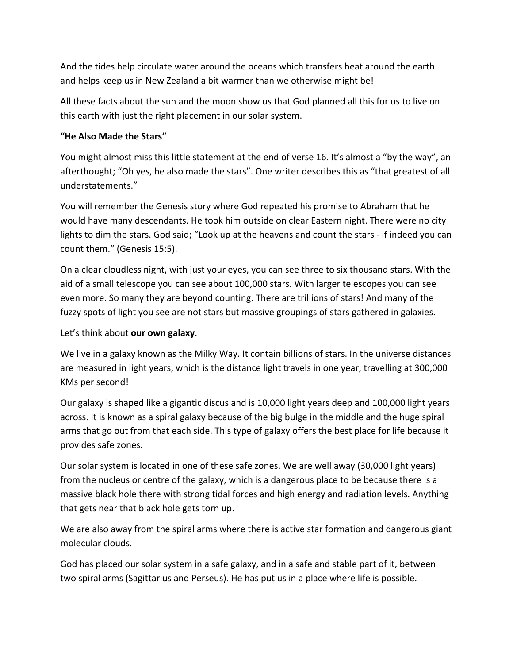And the tides help circulate water around the oceans which transfers heat around the earth and helps keep us in New Zealand a bit warmer than we otherwise might be!

All these facts about the sun and the moon show us that God planned all this for us to live on this earth with just the right placement in our solar system.

## **"He Also Made the Stars"**

You might almost miss this little statement at the end of verse 16. It's almost a "by the way", an afterthought; "Oh yes, he also made the stars". One writer describes this as "that greatest of all understatements."

You will remember the Genesis story where God repeated his promise to Abraham that he would have many descendants. He took him outside on clear Eastern night. There were no city lights to dim the stars. God said; "Look up at the heavens and count the stars ‐ if indeed you can count them." (Genesis 15:5).

On a clear cloudless night, with just your eyes, you can see three to six thousand stars. With the aid of a small telescope you can see about 100,000 stars. With larger telescopes you can see even more. So many they are beyond counting. There are trillions of stars! And many of the fuzzy spots of light you see are not stars but massive groupings of stars gathered in galaxies.

Let's think about **our own galaxy**.

We live in a galaxy known as the Milky Way. It contain billions of stars. In the universe distances are measured in light years, which is the distance light travels in one year, travelling at 300,000 KMs per second!

Our galaxy is shaped like a gigantic discus and is 10,000 light years deep and 100,000 light years across. It is known as a spiral galaxy because of the big bulge in the middle and the huge spiral arms that go out from that each side. This type of galaxy offers the best place for life because it provides safe zones.

Our solar system is located in one of these safe zones. We are well away (30,000 light years) from the nucleus or centre of the galaxy, which is a dangerous place to be because there is a massive black hole there with strong tidal forces and high energy and radiation levels. Anything that gets near that black hole gets torn up.

We are also away from the spiral arms where there is active star formation and dangerous giant molecular clouds.

God has placed our solar system in a safe galaxy, and in a safe and stable part of it, between two spiral arms (Sagittarius and Perseus). He has put us in a place where life is possible.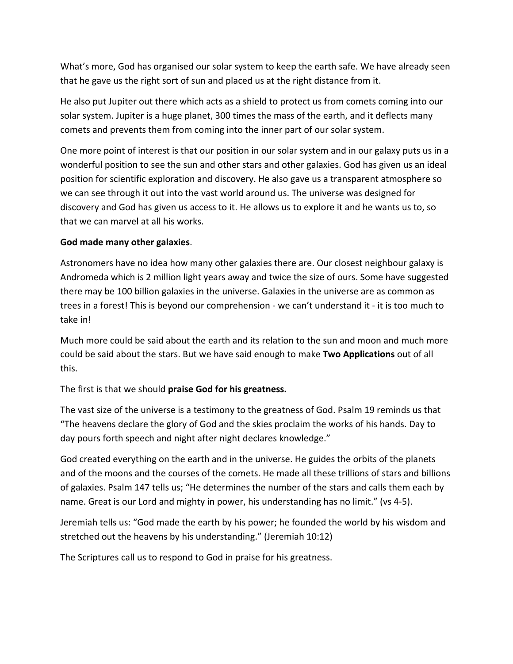What's more, God has organised our solar system to keep the earth safe. We have already seen that he gave us the right sort of sun and placed us at the right distance from it.

He also put Jupiter out there which acts as a shield to protect us from comets coming into our solar system. Jupiter is a huge planet, 300 times the mass of the earth, and it deflects many comets and prevents them from coming into the inner part of our solar system.

One more point of interest is that our position in our solar system and in our galaxy puts us in a wonderful position to see the sun and other stars and other galaxies. God has given us an ideal position for scientific exploration and discovery. He also gave us a transparent atmosphere so we can see through it out into the vast world around us. The universe was designed for discovery and God has given us access to it. He allows us to explore it and he wants us to, so that we can marvel at all his works.

### **God made many other galaxies**.

Astronomers have no idea how many other galaxies there are. Our closest neighbour galaxy is Andromeda which is 2 million light years away and twice the size of ours. Some have suggested there may be 100 billion galaxies in the universe. Galaxies in the universe are as common as trees in a forest! This is beyond our comprehension ‐ we can't understand it ‐ it is too much to take in!

Much more could be said about the earth and its relation to the sun and moon and much more could be said about the stars. But we have said enough to make **Two Applications** out of all this.

The first is that we should **praise God for his greatness.**

The vast size of the universe is a testimony to the greatness of God. Psalm 19 reminds us that "The heavens declare the glory of God and the skies proclaim the works of his hands. Day to day pours forth speech and night after night declares knowledge."

God created everything on the earth and in the universe. He guides the orbits of the planets and of the moons and the courses of the comets. He made all these trillions of stars and billions of galaxies. Psalm 147 tells us; "He determines the number of the stars and calls them each by name. Great is our Lord and mighty in power, his understanding has no limit." (vs 4‐5).

Jeremiah tells us: "God made the earth by his power; he founded the world by his wisdom and stretched out the heavens by his understanding." (Jeremiah 10:12)

The Scriptures call us to respond to God in praise for his greatness.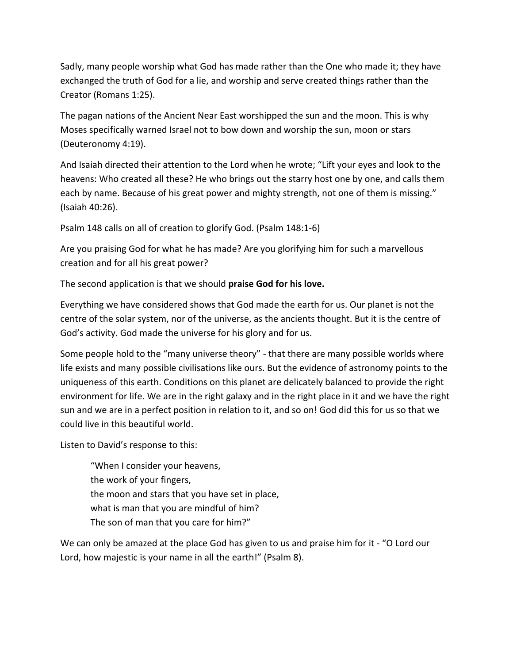Sadly, many people worship what God has made rather than the One who made it; they have exchanged the truth of God for a lie, and worship and serve created things rather than the Creator (Romans 1:25).

The pagan nations of the Ancient Near East worshipped the sun and the moon. This is why Moses specifically warned Israel not to bow down and worship the sun, moon or stars (Deuteronomy 4:19).

And Isaiah directed their attention to the Lord when he wrote; "Lift your eyes and look to the heavens: Who created all these? He who brings out the starry host one by one, and calls them each by name. Because of his great power and mighty strength, not one of them is missing." (Isaiah 40:26).

Psalm 148 calls on all of creation to glorify God. (Psalm 148:1‐6)

Are you praising God for what he has made? Are you glorifying him for such a marvellous creation and for all his great power?

The second application is that we should **praise God for his love.**

Everything we have considered shows that God made the earth for us. Our planet is not the centre of the solar system, nor of the universe, as the ancients thought. But it is the centre of God's activity. God made the universe for his glory and for us.

Some people hold to the "many universe theory" ‐ that there are many possible worlds where life exists and many possible civilisations like ours. But the evidence of astronomy points to the uniqueness of this earth. Conditions on this planet are delicately balanced to provide the right environment for life. We are in the right galaxy and in the right place in it and we have the right sun and we are in a perfect position in relation to it, and so on! God did this for us so that we could live in this beautiful world.

Listen to David's response to this:

"When I consider your heavens, the work of your fingers, the moon and stars that you have set in place, what is man that you are mindful of him? The son of man that you care for him?"

We can only be amazed at the place God has given to us and praise him for it - "O Lord our Lord, how majestic is your name in all the earth!" (Psalm 8).